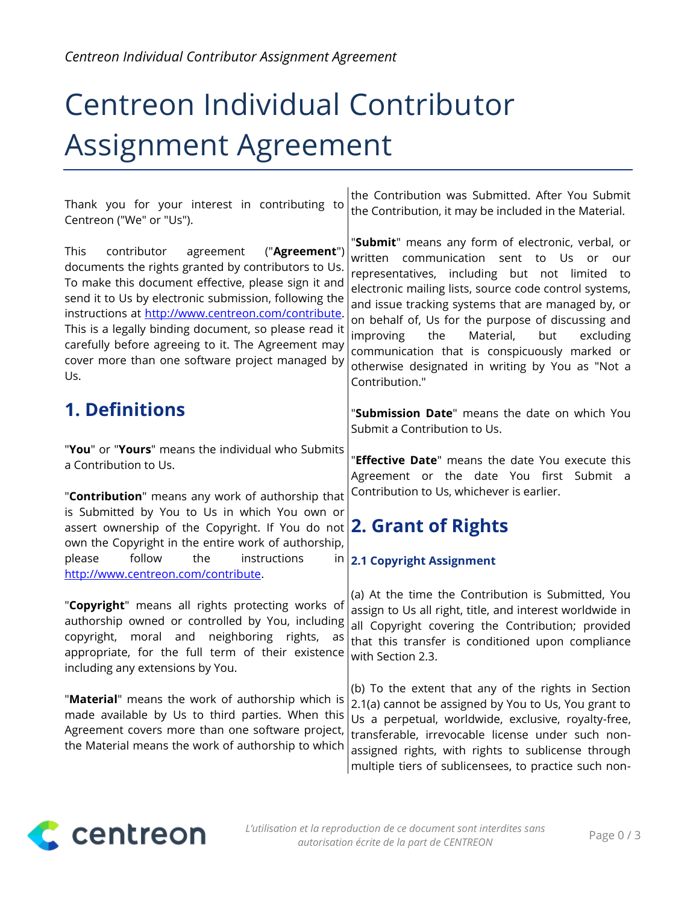# Centreon Individual Contributor Assignment Agreement

Thank you for your interest in contributing to Centreon ("We" or "Us").

This contributor agreement ("**Agreement**") documents the rights granted by contributors to Us. To make this document effective, please sign it and send it to Us by electronic submission, following the instructions at http://www.centreon.com/contribute. This is a legally binding document, so please read it carefully before agreeing to it. The Agreement may cover more than one software project managed by Us.

### **1. Definitions**

"**You**" or "**Yours**" means the individual who Submits a Contribution to Us.

"**Contribution**" means any work of authorship that is Submitted by You to Us in which You own or assert ownership of the Copyright. If You do not own the Copyright in the entire work of authorship, please follow the instructions in [http://www.centreon.com/contribute.](http://www.centreon.com/contribute)

"**Copyright**" means all rights protecting works of authorship owned or controlled by You, including copyright, moral and neighboring rights, as appropriate, for the full term of their existence including any extensions by You.

"**Material**" means the work of authorship which is made available by Us to third parties. When this Agreement covers more than one software project, the Material means the work of authorship to which

the Contribution was Submitted. After You Submit the Contribution, it may be included in the Material.

"**Submit**" means any form of electronic, verbal, or written communication sent to Us or our representatives, including but not limited to electronic mailing lists, source code control systems, and issue tracking systems that are managed by, or on behalf of, Us for the purpose of discussing and improving the Material, but excluding communication that is conspicuously marked or otherwise designated in writing by You as "Not a Contribution."

"**Submission Date**" means the date on which You Submit a Contribution to Us.

"**Effective Date**" means the date You execute this Agreement or the date You first Submit a Contribution to Us, whichever is earlier.

# **2. Grant of Rights**

### **2.1 Copyright Assignment**

(a) At the time the Contribution is Submitted, You assign to Us all right, title, and interest worldwide in all Copyright covering the Contribution; provided that this transfer is conditioned upon compliance with Section 2.3.

(b) To the extent that any of the rights in Section 2.1(a) cannot be assigned by You to Us, You grant to Us a perpetual, worldwide, exclusive, royalty-free, transferable, irrevocable license under such nonassigned rights, with rights to sublicense through multiple tiers of sublicensees, to practice such non-

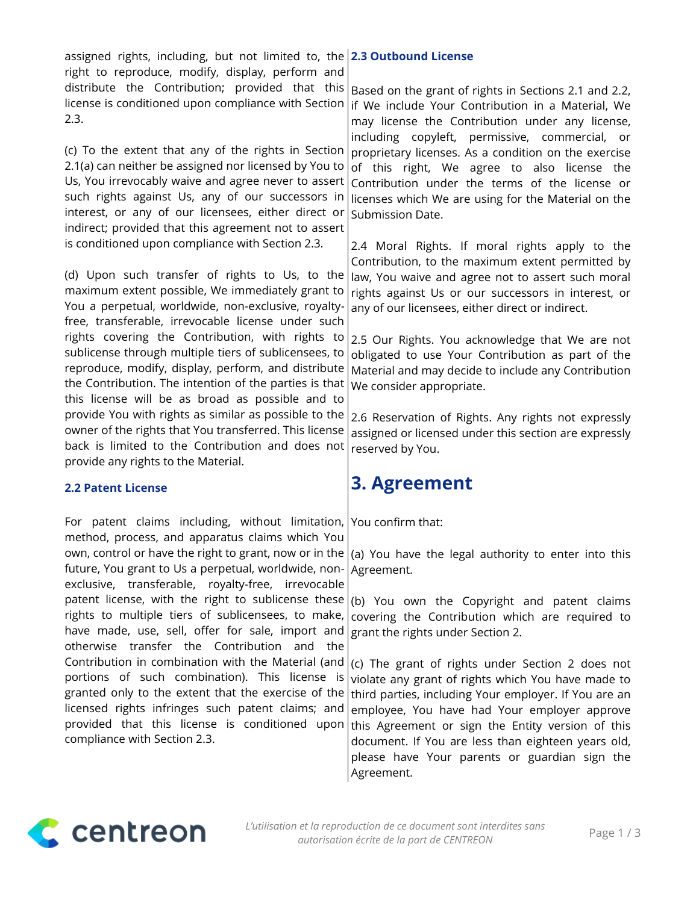assigned rights, including, but not limited to, the **2.3 Outbound License** right to reproduce, modify, display, perform and distribute the Contribution; provided that this Based on the grant of rights in Sections 2.1 and 2.2, license is conditioned upon compliance with Section 2.3.

(c) To the extent that any of the rights in Section 2.1(a) can neither be assigned nor licensed by You to Us, You irrevocably waive and agree never to assert such rights against Us, any of our successors in interest, or any of our licensees, either direct or indirect; provided that this agreement not to assert is conditioned upon compliance with Section 2.3.

(d) Upon such transfer of rights to Us, to the maximum extent possible, We immediately grant to You a perpetual, worldwide, non-exclusive, royaltyfree, transferable, irrevocable license under such rights covering the Contribution, with rights to sublicense through multiple tiers of sublicensees, to reproduce, modify, display, perform, and distribute the Contribution. The intention of the parties is that this license will be as broad as possible and to provide You with rights as similar as possible to the owner of the rights that You transferred. This license back is limited to the Contribution and does not provide any rights to the Material.

### **2.2 Patent License**

For patent claims including, without limitation, method, process, and apparatus claims which You own, control or have the right to grant, now or in the future, You grant to Us a perpetual, worldwide, nonexclusive, transferable, royalty-free, irrevocable patent license, with the right to sublicense these rights to multiple tiers of sublicensees, to make, have made, use, sell, offer for sale, import and otherwise transfer the Contribution and the Contribution in combination with the Material (and portions of such combination). This license is granted only to the extent that the exercise of the licensed rights infringes such patent claims; and provided that this license is conditioned upon compliance with Section 2.3.

if We include Your Contribution in a Material, We may license the Contribution under any license, including copyleft, permissive, commercial, or proprietary licenses. As a condition on the exercise of this right, We agree to also license the Contribution under the terms of the license or licenses which We are using for the Material on the Submission Date.

2.4 Moral Rights. If moral rights apply to the Contribution, to the maximum extent permitted by law, You waive and agree not to assert such moral rights against Us or our successors in interest, or any of our licensees, either direct or indirect.

2.5 Our Rights. You acknowledge that We are not obligated to use Your Contribution as part of the Material and may decide to include any Contribution We consider appropriate.

2.6 Reservation of Rights. Any rights not expressly assigned or licensed under this section are expressly reserved by You.

### **3. Agreement**

You confirm that:

(a) You have the legal authority to enter into this Agreement.

(b) You own the Copyright and patent claims covering the Contribution which are required to grant the rights under Section 2.

(c) The grant of rights under Section 2 does not violate any grant of rights which You have made to third parties, including Your employer. If You are an employee, You have had Your employer approve this Agreement or sign the Entity version of this document. If You are less than eighteen years old, please have Your parents or guardian sign the Agreement.